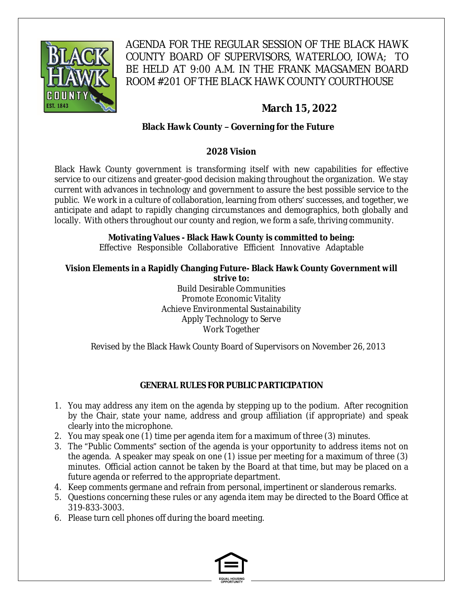

AGENDA FOR THE REGULAR SESSION OF THE BLACK HAWK COUNTY BOARD OF SUPERVISORS, WATERLOO, IOWA; TO BE HELD AT 9:00 A.M. IN THE FRANK MAGSAMEN BOARD ROOM #201 OF THE BLACK HAWK COUNTY COURTHOUSE

# **March 15, 2022**

# **Black Hawk County – Governing for the Future**

## **2028 Vision**

Black Hawk County government is transforming itself with new capabilities for effective service to our citizens and greater-good decision making throughout the organization. We stay current with advances in technology and government to assure the best possible service to the public. We work in a culture of collaboration, learning from others' successes, and together, we anticipate and adapt to rapidly changing circumstances and demographics, both globally and locally. With others throughout our county and region, we form a safe, thriving community.

# **Motivating Values - Black Hawk County is committed to being:**

Effective Responsible Collaborative Efficient Innovative Adaptable

#### **Vision Elements in a Rapidly Changing Future- Black Hawk County Government will strive to:**

Build Desirable Communities Promote Economic Vitality Achieve Environmental Sustainability Apply Technology to Serve Work Together

Revised by the Black Hawk County Board of Supervisors on November 26, 2013

# **GENERAL RULES FOR PUBLIC PARTICIPATION**

- 1. You may address any item on the agenda by stepping up to the podium. After recognition by the Chair, state your name, address and group affiliation (if appropriate) and speak clearly into the microphone.
- 2. You may speak one (1) time per agenda item for a maximum of three (3) minutes.
- 3. The "Public Comments" section of the agenda is your opportunity to address items not on the agenda. A speaker may speak on one (1) issue per meeting for a maximum of three (3) minutes. Official action cannot be taken by the Board at that time, but may be placed on a future agenda or referred to the appropriate department.
- 4. Keep comments germane and refrain from personal, impertinent or slanderous remarks.
- 5. Questions concerning these rules or any agenda item may be directed to the Board Office at 319-833-3003.
- 6. Please turn cell phones off during the board meeting.

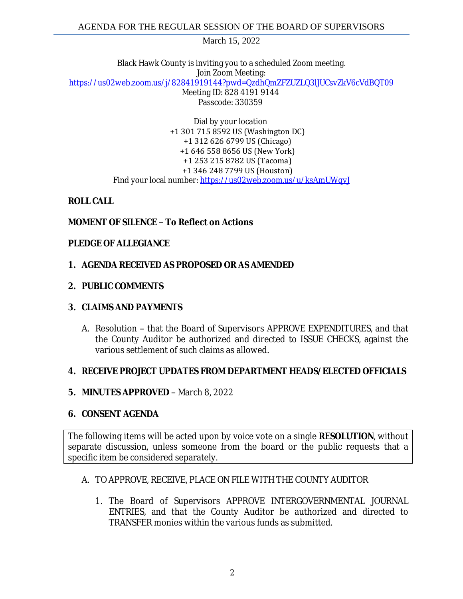March 15, 2022

Black Hawk County is inviting you to a scheduled Zoom meeting. Join Zoom Meeting: [https://us02web.zoom.us/j/82841919144?pwd=QzdhQmZFZUZLQ3lJUCsvZkV6cVdBQT09](https://gcc02.safelinks.protection.outlook.com/?url=https%3A%2F%2Fus02web.zoom.us%2Fj%2F82841919144%3Fpwd%3DQzdhQmZFZUZLQ3lJUCsvZkV6cVdBQT09&data=04%7C01%7Ckzwanziger%40blackhawkcounty.iowa.gov%7C0010f7c989134a32c85d08da01d1f211%7C9960f5b6faae4bb3a122c43aceeaa06d%7C0%7C0%7C637824298477797892%7CUnknown%7CTWFpbGZsb3d8eyJWIjoiMC4wLjAwMDAiLCJQIjoiV2luMzIiLCJBTiI6Ik1haWwiLCJXVCI6Mn0%3D%7C3000&sdata=qibaV80VPtmcoNjDKwxWhPaoBb2YgvNxxe2l99LKMpE%3D&reserved=0) Meeting ID: 828 4191 9144 Passcode: 330359

> Dial by your location +1 301 715 8592 US (Washington DC) +1 312 626 6799 US (Chicago) +1 646 558 8656 US (New York) +1 253 215 8782 US (Tacoma) +1 346 248 7799 US (Houston) Find your local number: [https://us02web.zoom.us/u/ksAmUWqvJ](https://gcc02.safelinks.protection.outlook.com/?url=https%3A%2F%2Fus02web.zoom.us%2Fu%2FksAmUWqvJ&data=04%7C01%7Ckzwanziger%40blackhawkcounty.iowa.gov%7C0010f7c989134a32c85d08da01d1f211%7C9960f5b6faae4bb3a122c43aceeaa06d%7C0%7C0%7C637824298477954113%7CUnknown%7CTWFpbGZsb3d8eyJWIjoiMC4wLjAwMDAiLCJQIjoiV2luMzIiLCJBTiI6Ik1haWwiLCJXVCI6Mn0%3D%7C3000&sdata=xdoIaoHW%2B847cVQueimBQp002upBOk1M9QMr2EIqfqQ%3D&reserved=0)

## **ROLL CALL**

# **MOMENT OF SILENCE – To Reflect on Actions**

## **PLEDGE OF ALLEGIANCE**

## **1. AGENDA RECEIVED AS PROPOSED OR AS AMENDED**

#### **2. PUBLIC COMMENTS**

## **3. CLAIMS AND PAYMENTS**

A. Resolution **–** that the Board of Supervisors APPROVE EXPENDITURES, and that the County Auditor be authorized and directed to ISSUE CHECKS, against the various settlement of such claims as allowed.

## **4. RECEIVE PROJECT UPDATES FROM DEPARTMENT HEADS/ELECTED OFFICIALS**

## **5. MINUTES APPROVED –** March 8, 2022

#### **6. CONSENT AGENDA**

The following items will be acted upon by voice vote on a single **RESOLUTION**, without separate discussion, unless someone from the board or the public requests that a specific item be considered separately.

#### A. TO APPROVE, RECEIVE, PLACE ON FILE WITH THE COUNTY AUDITOR

1. The Board of Supervisors APPROVE INTERGOVERNMENTAL JOURNAL ENTRIES, and that the County Auditor be authorized and directed to TRANSFER monies within the various funds as submitted.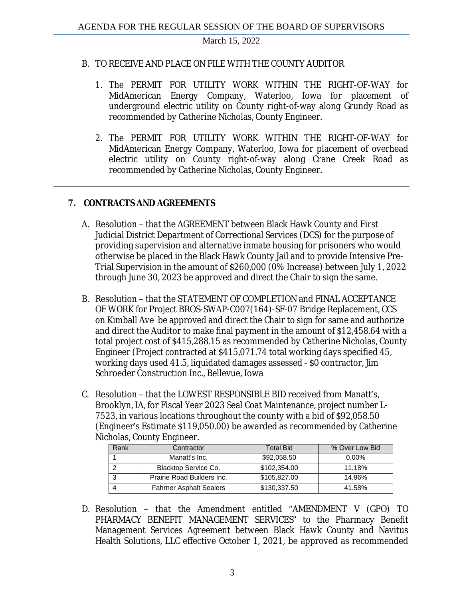March 15, 2022

## B. TO RECEIVE AND PLACE ON FILE WITH THE COUNTY AUDITOR

- 1. The PERMIT FOR UTILITY WORK WITHIN THE RIGHT-OF-WAY for MidAmerican Energy Company, Waterloo, Iowa for placement of underground electric utility on County right-of-way along Grundy Road as recommended by Catherine Nicholas, County Engineer.
- 2. The PERMIT FOR UTILITY WORK WITHIN THE RIGHT-OF-WAY for MidAmerican Energy Company, Waterloo, Iowa for placement of overhead electric utility on County right-of-way along Crane Creek Road as recommended by Catherine Nicholas, County Engineer.

# **7. CONTRACTS AND AGREEMENTS**

- A. Resolution that the AGREEMENT between Black Hawk County and First Judicial District Department of Correctional Services (DCS) for the purpose of providing supervision and alternative inmate housing for prisoners who would otherwise be placed in the Black Hawk County Jail and to provide Intensive Pre-Trial Supervision in the amount of \$260,000 (0% Increase) between July 1, 2022 through June 30, 2023 be approved and direct the Chair to sign the same.
- B. Resolution that the STATEMENT OF COMPLETION and FINAL ACCEPTANCE OF WORK for Project BROS-SWAP-C007(164)-SF-07 Bridge Replacement, CCS on Kimball Ave be approved and direct the Chair to sign for same and authorize and direct the Auditor to make final payment in the amount of \$12,458.64 with a total project cost of \$415,288.15 as recommended by Catherine Nicholas, County Engineer (Project contracted at \$415,071.74 total working days specified 45, working days used 41.5, liquidated damages assessed - \$0 contractor, Jim Schroeder Construction Inc., Bellevue, Iowa
- C. Resolution that the LOWEST RESPONSIBLE BID received from Manatt's, Brooklyn, IA, for Fiscal Year 2023 Seal Coat Maintenance, project number L-7523, in various locations throughout the county with a bid of \$92,058.50 (Engineer's Estimate \$119,050.00) be awarded as recommended by Catherine Nicholas, County Engineer.

| Rank | Contractor                     | <b>Total Bid</b> | % Over Low Bid |
|------|--------------------------------|------------------|----------------|
|      | Manatt's Inc.                  | \$92,058.50      | $0.00\%$       |
|      | Blacktop Service Co.           | \$102,354.00     | 11.18%         |
|      | Prairie Road Builders Inc.     | \$105,827.00     | 14.96%         |
|      | <b>Fahrner Asphalt Sealers</b> | \$130,337.50     | 41.58%         |

D. Resolution – that the Amendment entitled "AMENDMENT V (GPO) TO PHARMACY BENEFIT MANAGEMENT SERVICES" to the Pharmacy Benefit Management Services Agreement between Black Hawk County and Navitus Health Solutions, LLC effective October 1, 2021, be approved as recommended